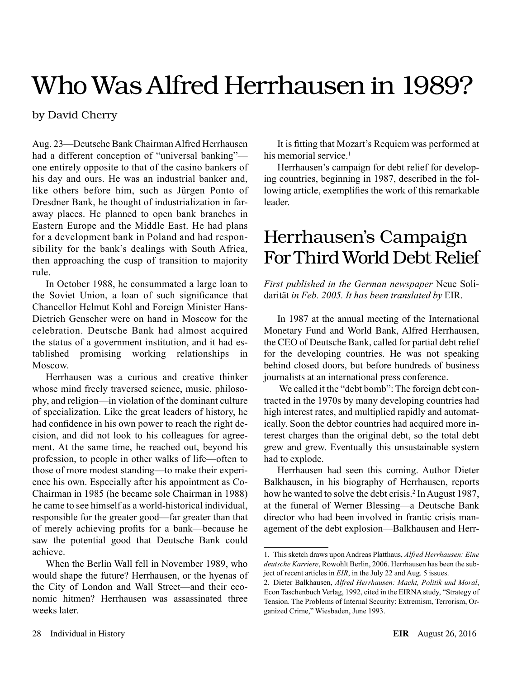# Who Was Alfred Herrhausen in 1989?

### by David Cherry

Aug. 23—Deutsche Bank Chairman Alfred Herrhausen had a different conception of "universal banking" one entirely opposite to that of the casino bankers of his day and ours. He was an industrial banker and, like others before him, such as Jürgen Ponto of Dresdner Bank, he thought of industrialization in faraway places. He planned to open bank branches in Eastern Europe and the Middle East. He had plans for a development bank in Poland and had responsibility for the bank's dealings with South Africa, then approaching the cusp of transition to majority rule.

In October 1988, he consummated a large loan to the Soviet Union, a loan of such significance that Chancellor Helmut Kohl and Foreign Minister Hans-Dietrich Genscher were on hand in Moscow for the celebration. Deutsche Bank had almost acquired the status of a government institution, and it had established promising working relationships in Moscow.

Herrhausen was a curious and creative thinker whose mind freely traversed science, music, philosophy, and religion—in violation of the dominant culture of specialization. Like the great leaders of history, he had confidence in his own power to reach the right decision, and did not look to his colleagues for agreement. At the same time, he reached out, beyond his profession, to people in other walks of life—often to those of more modest standing—to make their experience his own. Especially after his appointment as Co-Chairman in 1985 (he became sole Chairman in 1988) he came to see himself as a world-historical individual, responsible for the greater good—far greater than that of merely achieving profits for a bank—because he saw the potential good that Deutsche Bank could achieve.

When the Berlin Wall fell in November 1989, who would shape the future? Herrhausen, or the hyenas of the City of London and Wall Street—and their economic hitmen? Herrhausen was assassinated three weeks later

It is fitting that Mozart's Requiem was performed at his memorial service.<sup>1</sup>

Herrhausen's campaign for debt relief for developing countries, beginning in 1987, described in the following article, exemplifies the work of this remarkable leader.

## Herrhausen's Campaign For Third World Debt Relief

*First published in the German newspaper* Neue Solidarität *in Feb. 2005. It has been translated by* EIR.

In 1987 at the annual meeting of the International Monetary Fund and World Bank, Alfred Herrhausen, the CEO of Deutsche Bank, called for partial debt relief for the developing countries. He was not speaking behind closed doors, but before hundreds of business journalists at an international press conference.

 We called it the "debt bomb": The foreign debt contracted in the 1970s by many developing countries had high interest rates, and multiplied rapidly and automatically. Soon the debtor countries had acquired more interest charges than the original debt, so the total debt grew and grew. Eventually this unsustainable system had to explode.

Herrhausen had seen this coming. Author Dieter Balkhausen, in his biography of Herrhausen, reports how he wanted to solve the debt crisis.<sup>2</sup> In August 1987, at the funeral of Werner Blessing—a Deutsche Bank director who had been involved in frantic crisis management of the debt explosion—Balkhausen and Herr-

<sup>1.</sup> This sketch draws upon Andreas Platthaus, *Alfred Herrhausen: Eine deutsche Karriere*, Rowohlt Berlin, 2006. Herrhausen has been the subject of recent articles in *EIR*, in the July 22 and Aug. 5 issues.

<sup>2.</sup> Dieter Balkhausen, *Alfred Herrhausen: Macht, Politik und Moral*, Econ Taschenbuch Verlag, 1992, cited in the EIRNA study, "Strategy of Tension. The Problems of Internal Security: Extremism, Terrorism, Organized Crime," Wiesbaden, June 1993.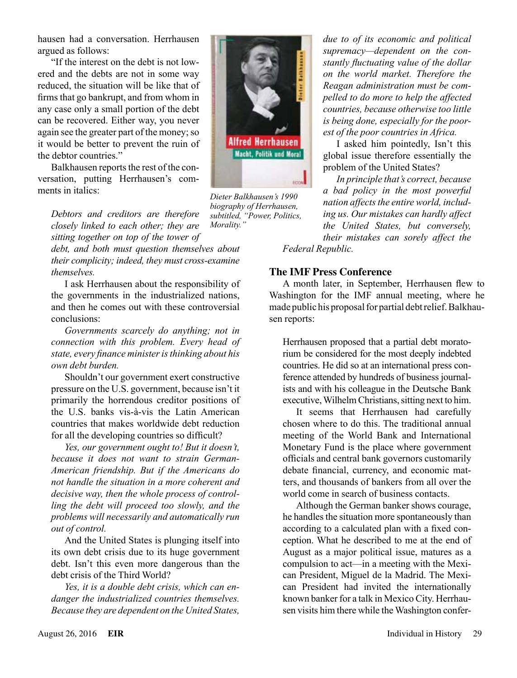hausen had a conversation. Herrhausen argued as follows:

"If the interest on the debt is not lowered and the debts are not in some way reduced, the situation will be like that of firms that go bankrupt, and from whom in any case only a small portion of the debt can be recovered. Either way, you never again see the greater part of the money; so it would be better to prevent the ruin of the debtor countries."

Balkhausen reports the rest of the conversation, putting Herrhausen's comments in italics:

*Debtors and creditors are therefore closely linked to each other; they are sitting together on top of the tower of* 

*debt, and both must question themselves about their complicity; indeed, they must cross-examine themselves.*

I ask Herrhausen about the responsibility of the governments in the industrialized nations, and then he comes out with these controversial conclusions:

*Governments scarcely do anything; not in connection with this problem. Every head of state, every finance minister is thinking about his own debt burden.*

Shouldn't our government exert constructive pressure on the U.S. government, because isn't it primarily the horrendous creditor positions of the U.S. banks vis-à-vis the Latin American countries that makes worldwide debt reduction for all the developing countries so difficult?

*Yes, our government ought to! But it doesn't, because it does not want to strain German-American friendship. But if the Americans do not handle the situation in a more coherent and decisive way, then the whole process of controlling the debt will proceed too slowly, and the problems will necessarily and automatically run out of control.*

And the United States is plunging itself into its own debt crisis due to its huge government debt. Isn't this even more dangerous than the debt crisis of the Third World?

*Yes, it is a double debt crisis, which can endanger the industrialized countries themselves. Because they are dependent on the United States,* 



*Dieter Balkhausen's 1990 biography of Herrhausen, subtitled, "Power, Politics, Morality."*

*due to of its economic and political supremacy—dependent on the constantly fluctuating value of the dollar on the world market. Therefore the Reagan administration must be compelled to do more to help the affected countries, because otherwise too little is being done, especially for the poorest of the poor countries in Africa.*

I asked him pointedly, Isn't this global issue therefore essentially the problem of the United States?

*In principle that's correct, because a bad policy in the most powerful nation affects the entire world, including us. Our mistakes can hardly affect the United States, but conversely, their mistakes can sorely affect the* 

*Federal Republic.*

### **The IMF Press Conference**

A month later, in September, Herrhausen flew to Washington for the IMF annual meeting, where he made public his proposal for partial debt relief. Balkhausen reports:

Herrhausen proposed that a partial debt moratorium be considered for the most deeply indebted countries. He did so at an international press conference attended by hundreds of business journalists and with his colleague in the Deutsche Bank executive, Wilhelm Christians, sitting next to him.

It seems that Herrhausen had carefully chosen where to do this. The traditional annual meeting of the World Bank and International Monetary Fund is the place where government officials and central bank governors customarily debate financial, currency, and economic matters, and thousands of bankers from all over the world come in search of business contacts.

Although the German banker shows courage, he handles the situation more spontaneously than according to a calculated plan with a fixed conception. What he described to me at the end of August as a major political issue, matures as a compulsion to act—in a meeting with the Mexican President, Miguel de la Madrid. The Mexican President had invited the internationally known banker for a talk in Mexico City. Herrhausen visits him there while the Washington confer-